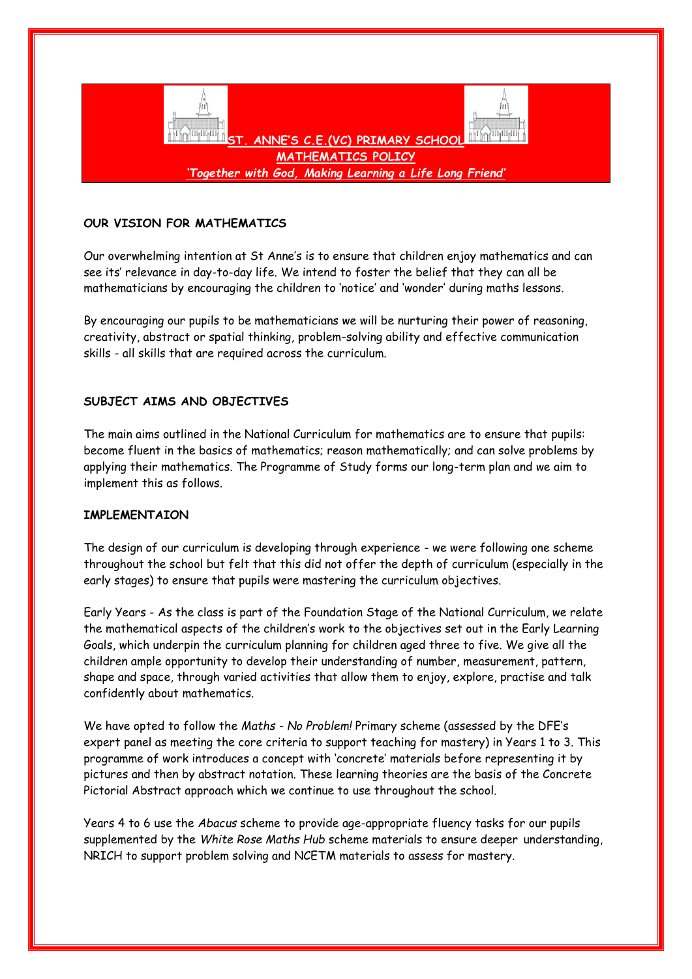

# **OUR VISION FOR MATHEMATICS**

Our overwhelming intention at St Anne's is to ensure that children enjoy mathematics and can see its' relevance in day-to-day life. We intend to foster the belief that they can all be mathematicians by encouraging the children to 'notice' and 'wonder' during maths lessons.

By encouraging our pupils to be mathematicians we will be nurturing their power of reasoning, creativity, abstract or spatial thinking, problem-solving ability and effective communication skills - all skills that are required across the curriculum.

## **SUBJECT AIMS AND OBJECTIVES**

The main aims outlined in the National Curriculum for mathematics are to ensure that pupils: become fluent in the basics of mathematics; reason mathematically; and can solve problems by applying their mathematics. The Programme of Study forms our long-term plan and we aim to implement this as follows.

# **IMPLEMENTAION**

The design of our curriculum is developing through experience - we were following one scheme throughout the school but felt that this did not offer the depth of curriculum (especially in the early stages) to ensure that pupils were mastering the curriculum objectives.

Early Years - As the class is part of the Foundation Stage of the National Curriculum, we relate the mathematical aspects of the children's work to the objectives set out in the Early Learning Goals, which underpin the curriculum planning for children aged three to five. We give all the children ample opportunity to develop their understanding of number, measurement, pattern, shape and space, through varied activities that allow them to enjoy, explore, practise and talk confidently about mathematics.

We have opted to follow the *Maths - No Problem!* Primary scheme (assessed by the DFE's expert panel as meeting the core criteria to support teaching for mastery) in Years 1 to 3. This programme of work introduces a concept with 'concrete' materials before representing it by pictures and then by abstract notation. These learning theories are the basis of the Concrete Pictorial Abstract approach which we continue to use throughout the school.

Years 4 to 6 use the *Abacus* scheme to provide age-appropriate fluency tasks for our pupils supplemented by the *White Rose Maths Hub* scheme materials to ensure deeper understanding, NRICH to support problem solving and NCETM materials to assess for mastery.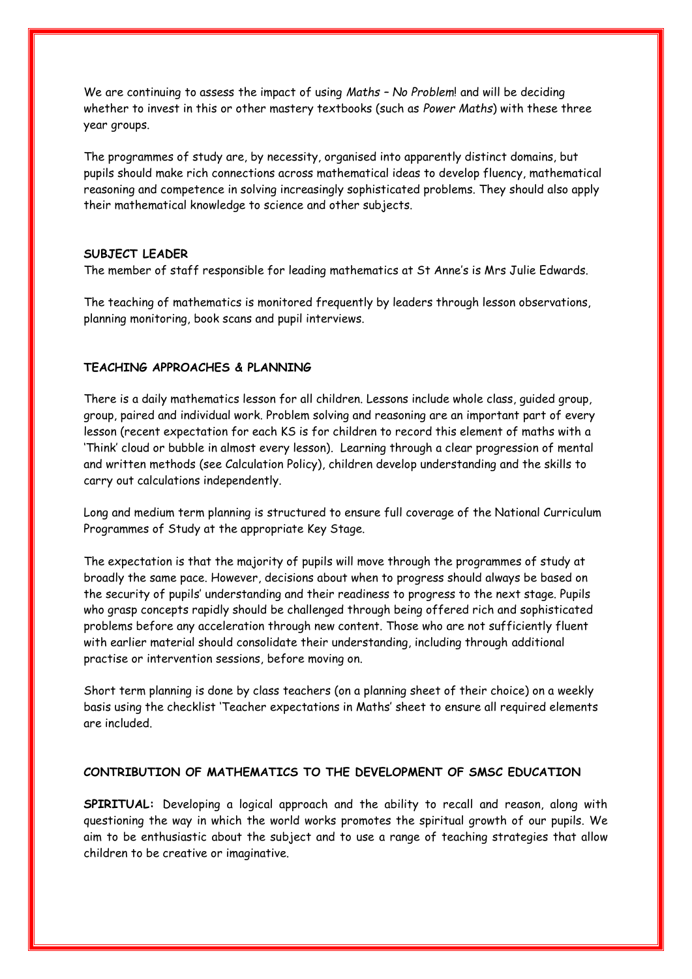We are continuing to assess the impact of using *Maths – No Problem*! and will be deciding whether to invest in this or other mastery textbooks (such as *Power Maths*) with these three year groups.

The programmes of study are, by necessity, organised into apparently distinct domains, but pupils should make rich connections across mathematical ideas to develop fluency, mathematical reasoning and competence in solving increasingly sophisticated problems. They should also apply their mathematical knowledge to science and other subjects.

# **SUBJECT LEADER**

The member of staff responsible for leading mathematics at St Anne's is Mrs Julie Edwards.

The teaching of mathematics is monitored frequently by leaders through lesson observations, planning monitoring, book scans and pupil interviews.

### **TEACHING APPROACHES & PLANNING**

There is a daily mathematics lesson for all children. Lessons include whole class, guided group, group, paired and individual work. Problem solving and reasoning are an important part of every lesson (recent expectation for each KS is for children to record this element of maths with a 'Think' cloud or bubble in almost every lesson). Learning through a clear progression of mental and written methods (see Calculation Policy), children develop understanding and the skills to carry out calculations independently.

Long and medium term planning is structured to ensure full coverage of the National Curriculum Programmes of Study at the appropriate Key Stage.

The expectation is that the majority of pupils will move through the programmes of study at broadly the same pace. However, decisions about when to progress should always be based on the security of pupils' understanding and their readiness to progress to the next stage. Pupils who grasp concepts rapidly should be challenged through being offered rich and sophisticated problems before any acceleration through new content. Those who are not sufficiently fluent with earlier material should consolidate their understanding, including through additional practise or intervention sessions, before moving on.

Short term planning is done by class teachers (on a planning sheet of their choice) on a weekly basis using the checklist 'Teacher expectations in Maths' sheet to ensure all required elements are included.

### **CONTRIBUTION OF MATHEMATICS TO THE DEVELOPMENT OF SMSC EDUCATION**

**SPIRITUAL:** Developing a logical approach and the ability to recall and reason, along with questioning the way in which the world works promotes the spiritual growth of our pupils. We aim to be enthusiastic about the subject and to use a range of teaching strategies that allow children to be creative or imaginative.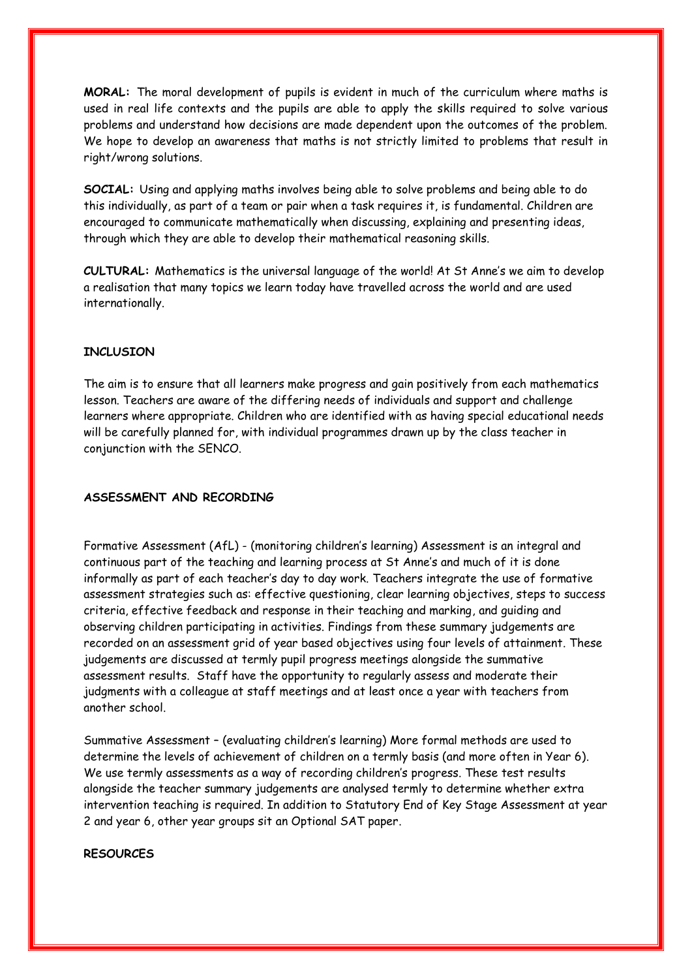**MORAL:** The moral development of pupils is evident in much of the curriculum where maths is used in real life contexts and the pupils are able to apply the skills required to solve various problems and understand how decisions are made dependent upon the outcomes of the problem. We hope to develop an awareness that maths is not strictly limited to problems that result in right/wrong solutions.

**SOCIAL:** Using and applying maths involves being able to solve problems and being able to do this individually, as part of a team or pair when a task requires it, is fundamental. Children are encouraged to communicate mathematically when discussing, explaining and presenting ideas, through which they are able to develop their mathematical reasoning skills.

**CULTURAL:** Mathematics is the universal language of the world! At St Anne's we aim to develop a realisation that many topics we learn today have travelled across the world and are used internationally.

### **INCLUSION**

The aim is to ensure that all learners make progress and gain positively from each mathematics lesson. Teachers are aware of the differing needs of individuals and support and challenge learners where appropriate. Children who are identified with as having special educational needs will be carefully planned for, with individual programmes drawn up by the class teacher in conjunction with the SENCO.

#### **ASSESSMENT AND RECORDING**

Formative Assessment (AfL) - (monitoring children's learning) Assessment is an integral and continuous part of the teaching and learning process at St Anne's and much of it is done informally as part of each teacher's day to day work. Teachers integrate the use of formative assessment strategies such as: effective questioning, clear learning objectives, steps to success criteria, effective feedback and response in their teaching and marking, and guiding and observing children participating in activities. Findings from these summary judgements are recorded on an assessment grid of year based objectives using four levels of attainment. These judgements are discussed at termly pupil progress meetings alongside the summative assessment results. Staff have the opportunity to regularly assess and moderate their judgments with a colleague at staff meetings and at least once a year with teachers from another school.

Summative Assessment – (evaluating children's learning) More formal methods are used to determine the levels of achievement of children on a termly basis (and more often in Year 6). We use termly assessments as a way of recording children's progress. These test results alongside the teacher summary judgements are analysed termly to determine whether extra intervention teaching is required. In addition to Statutory End of Key Stage Assessment at year 2 and year 6, other year groups sit an Optional SAT paper.

#### **RESOURCES**